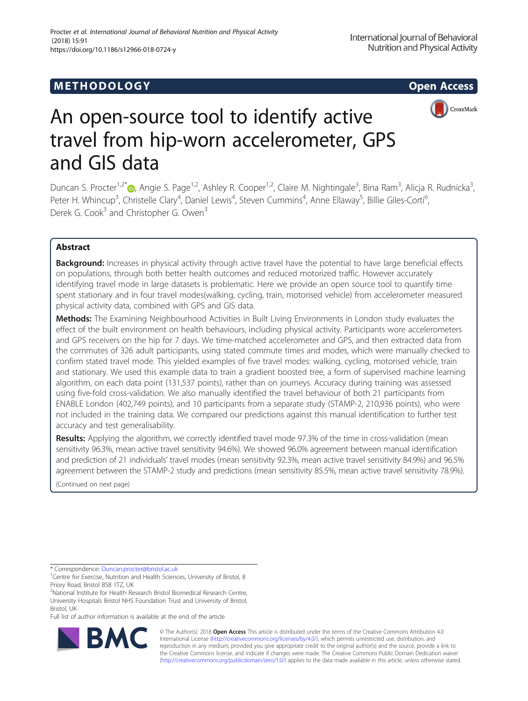## **METHODOLOGY CONSUMING ACCESS**





# An open-source tool to identify active travel from hip-worn accelerometer, GPS and GIS data

Duncan S. Procter<sup>1,2[\\*](http://orcid.org/0000-0003-1874-1205)</sup>®, Angie S. Page<sup>1,2</sup>, Ashley R. Cooper<sup>1,2</sup>, Claire M. Nightingale<sup>3</sup>, Bina Ram<sup>3</sup>, Alicja R. Rudnicka<sup>3</sup> , Peter H. Whincup<sup>3</sup>, Christelle Clary<sup>4</sup>, Daniel Lewis<sup>4</sup>, Steven Cummins<sup>4</sup>, Anne Ellaway<sup>5</sup>, Billie Giles-Corti<sup>6</sup> , Derek G. Cook<sup>3</sup> and Christopher G. Owen<sup>3</sup>

## Abstract

**Background:** Increases in physical activity through active travel have the potential to have large beneficial effects on populations, through both better health outcomes and reduced motorized traffic. However accurately identifying travel mode in large datasets is problematic. Here we provide an open source tool to quantify time spent stationary and in four travel modes(walking, cycling, train, motorised vehicle) from accelerometer measured physical activity data, combined with GPS and GIS data.

Methods: The Examining Neighbourhood Activities in Built Living Environments in London study evaluates the effect of the built environment on health behaviours, including physical activity. Participants wore accelerometers and GPS receivers on the hip for 7 days. We time-matched accelerometer and GPS, and then extracted data from the commutes of 326 adult participants, using stated commute times and modes, which were manually checked to confirm stated travel mode. This yielded examples of five travel modes: walking, cycling, motorised vehicle, train and stationary. We used this example data to train a gradient boosted tree, a form of supervised machine learning algorithm, on each data point (131,537 points), rather than on journeys. Accuracy during training was assessed using five-fold cross-validation. We also manually identified the travel behaviour of both 21 participants from ENABLE London (402,749 points), and 10 participants from a separate study (STAMP-2, 210,936 points), who were not included in the training data. We compared our predictions against this manual identification to further test accuracy and test generalisability.

Results: Applying the algorithm, we correctly identified travel mode 97.3% of the time in cross-validation (mean sensitivity 96.3%, mean active travel sensitivity 94.6%). We showed 96.0% agreement between manual identification and prediction of 21 individuals' travel modes (mean sensitivity 92.3%, mean active travel sensitivity 84.9%) and 96.5% agreement between the STAMP-2 study and predictions (mean sensitivity 85.5%, mean active travel sensitivity 78.9%).

(Continued on next page)

\* Correspondence: [Duncan.procter@bristol.ac.uk](mailto:Duncan.procter@bristol.ac.uk) <sup>1</sup>

Full list of author information is available at the end of the article



© The Author(s). 2018 Open Access This article is distributed under the terms of the Creative Commons Attribution 4.0 International License [\(http://creativecommons.org/licenses/by/4.0/](http://creativecommons.org/licenses/by/4.0/)), which permits unrestricted use, distribution, and reproduction in any medium, provided you give appropriate credit to the original author(s) and the source, provide a link to the Creative Commons license, and indicate if changes were made. The Creative Commons Public Domain Dedication waiver [\(http://creativecommons.org/publicdomain/zero/1.0/](http://creativecommons.org/publicdomain/zero/1.0/)) applies to the data made available in this article, unless otherwise stated.

<sup>&</sup>lt;sup>1</sup> Centre for Exercise, Nutrition and Health Sciences, University of Bristol, 8 Priory Road, Bristol BS8 1TZ, UK

<sup>&</sup>lt;sup>2</sup>National Institute for Health Research Bristol Biomedical Research Centre, University Hospitals Bristol NHS Foundation Trust and University of Bristol, Bristol, UK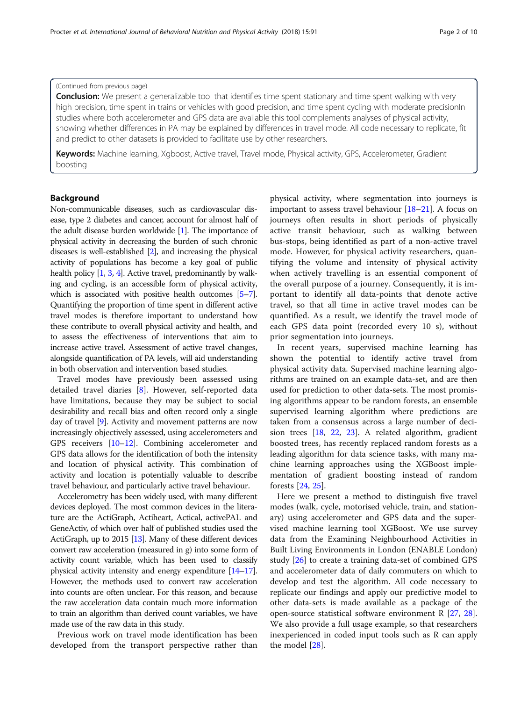## (Continued from previous page)

**Conclusion:** We present a generalizable tool that identifies time spent stationary and time spent walking with very high precision, time spent in trains or vehicles with good precision, and time spent cycling with moderate precisionIn studies where both accelerometer and GPS data are available this tool complements analyses of physical activity, showing whether differences in PA may be explained by differences in travel mode. All code necessary to replicate, fit and predict to other datasets is provided to facilitate use by other researchers.

Keywords: Machine learning, Xgboost, Active travel, Travel mode, Physical activity, GPS, Accelerometer, Gradient boosting

## Background

Non-communicable diseases, such as cardiovascular disease, type 2 diabetes and cancer, account for almost half of the adult disease burden worldwide  $[1]$  $[1]$ . The importance of physical activity in decreasing the burden of such chronic diseases is well-established [\[2\]](#page-8-0), and increasing the physical activity of populations has become a key goal of public health policy [\[1](#page-8-0), [3](#page-8-0), [4\]](#page-8-0). Active travel, predominantly by walking and cycling, is an accessible form of physical activity, which is associated with positive health outcomes [\[5](#page-8-0)–[7](#page-9-0)]. Quantifying the proportion of time spent in different active travel modes is therefore important to understand how these contribute to overall physical activity and health, and to assess the effectiveness of interventions that aim to increase active travel. Assessment of active travel changes, alongside quantification of PA levels, will aid understanding in both observation and intervention based studies.

Travel modes have previously been assessed using detailed travel diaries [[8\]](#page-9-0). However, self-reported data have limitations, because they may be subject to social desirability and recall bias and often record only a single day of travel [\[9](#page-9-0)]. Activity and movement patterns are now increasingly objectively assessed, using accelerometers and GPS receivers [\[10](#page-9-0)–[12](#page-9-0)]. Combining accelerometer and GPS data allows for the identification of both the intensity and location of physical activity. This combination of activity and location is potentially valuable to describe travel behaviour, and particularly active travel behaviour.

Accelerometry has been widely used, with many different devices deployed. The most common devices in the literature are the ActiGraph, Actiheart, Actical, activePAL and GeneActiv, of which over half of published studies used the ActiGraph, up to 2015 [\[13](#page-9-0)]. Many of these different devices convert raw acceleration (measured in g) into some form of activity count variable, which has been used to classify physical activity intensity and energy expenditure [[14](#page-9-0)–[17](#page-9-0)]. However, the methods used to convert raw acceleration into counts are often unclear. For this reason, and because the raw acceleration data contain much more information to train an algorithm than derived count variables, we have made use of the raw data in this study.

Previous work on travel mode identification has been developed from the transport perspective rather than

physical activity, where segmentation into journeys is important to assess travel behaviour [\[18](#page-9-0)–[21](#page-9-0)]. A focus on journeys often results in short periods of physically active transit behaviour, such as walking between bus-stops, being identified as part of a non-active travel mode. However, for physical activity researchers, quantifying the volume and intensity of physical activity when actively travelling is an essential component of the overall purpose of a journey. Consequently, it is important to identify all data-points that denote active travel, so that all time in active travel modes can be quantified. As a result, we identify the travel mode of each GPS data point (recorded every 10 s), without prior segmentation into journeys.

In recent years, supervised machine learning has shown the potential to identify active travel from physical activity data. Supervised machine learning algorithms are trained on an example data-set, and are then used for prediction to other data-sets. The most promising algorithms appear to be random forests, an ensemble supervised learning algorithm where predictions are taken from a consensus across a large number of decision trees [\[18](#page-9-0), [22,](#page-9-0) [23\]](#page-9-0). A related algorithm, gradient boosted trees, has recently replaced random forests as a leading algorithm for data science tasks, with many machine learning approaches using the XGBoost implementation of gradient boosting instead of random forests [[24,](#page-9-0) [25](#page-9-0)].

Here we present a method to distinguish five travel modes (walk, cycle, motorised vehicle, train, and stationary) using accelerometer and GPS data and the supervised machine learning tool XGBoost. We use survey data from the Examining Neighbourhood Activities in Built Living Environments in London (ENABLE London) study [[26\]](#page-9-0) to create a training data-set of combined GPS and accelerometer data of daily commuters on which to develop and test the algorithm. All code necessary to replicate our findings and apply our predictive model to other data-sets is made available as a package of the open-source statistical software environment R [[27](#page-9-0), [28](#page-9-0)]. We also provide a full usage example, so that researchers inexperienced in coded input tools such as R can apply the model [\[28\]](#page-9-0).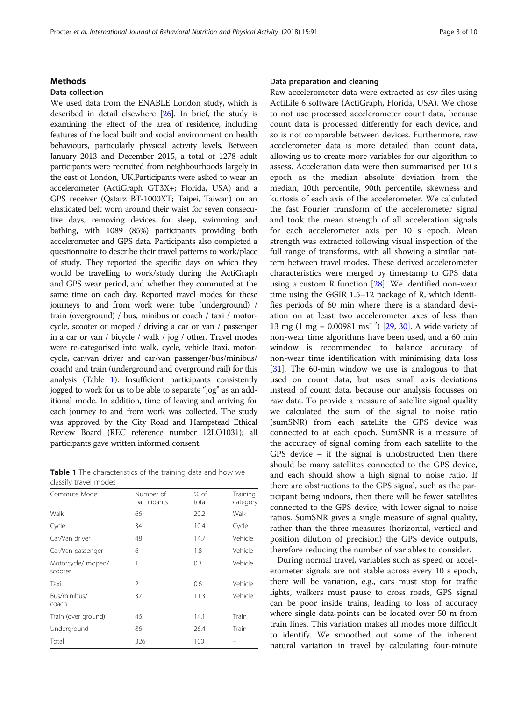## <span id="page-2-0"></span>Methods

## Data collection

We used data from the ENABLE London study, which is described in detail elsewhere [[26](#page-9-0)]. In brief, the study is examining the effect of the area of residence, including features of the local built and social environment on health behaviours, particularly physical activity levels. Between January 2013 and December 2015, a total of 1278 adult participants were recruited from neighbourhoods largely in the east of London, UK.Participants were asked to wear an accelerometer (ActiGraph GT3X+; Florida, USA) and a GPS receiver (Qstarz BT-1000XT; Taipei, Taiwan) on an elasticated belt worn around their waist for seven consecutive days, removing devices for sleep, swimming and bathing, with 1089 (85%) participants providing both accelerometer and GPS data. Participants also completed a questionnaire to describe their travel patterns to work/place of study. They reported the specific days on which they would be travelling to work/study during the ActiGraph and GPS wear period, and whether they commuted at the same time on each day. Reported travel modes for these journeys to and from work were: tube (underground) / train (overground) / bus, minibus or coach / taxi / motorcycle, scooter or moped / driving a car or van / passenger in a car or van / bicycle / walk / jog / other. Travel modes were re-categorised into walk, cycle, vehicle (taxi, motorcycle, car/van driver and car/van passenger/bus/minibus/ coach) and train (underground and overground rail) for this analysis (Table 1). Insufficient participants consistently jogged to work for us to be able to separate "jog" as an additional mode. In addition, time of leaving and arriving for each journey to and from work was collected. The study was approved by the City Road and Hampstead Ethical Review Board (REC reference number 12LO1031); all participants gave written informed consent.

Table 1 The characteristics of the training data and how we classify travel modes

| Commute Mode                  | Number of      | % of  | Training |
|-------------------------------|----------------|-------|----------|
|                               | participants   | total | category |
| Walk                          | 66             | 20.2  | Walk     |
| Cycle                         | 34             | 10.4  | Cycle    |
| Car/Van driver                | 48             | 14.7  | Vehicle  |
| Car/Van passenger             | 6              | 1.8   | Vehicle  |
| Motorcycle/ moped/<br>scooter | 1              | 0.3   | Vehicle  |
| Taxi                          | $\mathfrak{D}$ | 0.6   | Vehicle  |
| Bus/minibus/<br>coach         | 37             | 11.3  | Vehicle  |
| Train (over ground)           | 46             | 14.1  | Train    |
| Underground                   | 86             | 26.4  | Train    |
| Total                         | 326            | 100   |          |

## Data preparation and cleaning

Raw accelerometer data were extracted as csv files using ActiLife 6 software (ActiGraph, Florida, USA). We chose to not use processed accelerometer count data, because count data is processed differently for each device, and so is not comparable between devices. Furthermore, raw accelerometer data is more detailed than count data, allowing us to create more variables for our algorithm to assess. Acceleration data were then summarised per 10 s epoch as the median absolute deviation from the median, 10th percentile, 90th percentile, skewness and kurtosis of each axis of the accelerometer. We calculated the fast Fourier transform of the accelerometer signal and took the mean strength of all acceleration signals for each accelerometer axis per 10 s epoch. Mean strength was extracted following visual inspection of the full range of transforms, with all showing a similar pattern between travel modes. These derived accelerometer characteristics were merged by timestamp to GPS data using a custom R function  $[28]$  $[28]$  $[28]$ . We identified non-wear time using the GGIR 1.5–12 package of R, which identifies periods of 60 min where there is a standard deviation on at least two accelerometer axes of less than 13 mg (1 mg = 0.00981 ms<sup>-2</sup>) [\[29,](#page-9-0) [30\]](#page-9-0). A wide variety of non-wear time algorithms have been used, and a 60 min window is recommended to balance accuracy of non-wear time identification with minimising data loss [[31\]](#page-9-0). The 60-min window we use is analogous to that used on count data, but uses small axis deviations instead of count data, because our analysis focusses on raw data. To provide a measure of satellite signal quality we calculated the sum of the signal to noise ratio (sumSNR) from each satellite the GPS device was connected to at each epoch. SumSNR is a measure of the accuracy of signal coming from each satellite to the GPS device – if the signal is unobstructed then there should be many satellites connected to the GPS device, and each should show a high signal to noise ratio. If there are obstructions to the GPS signal, such as the participant being indoors, then there will be fewer satellites connected to the GPS device, with lower signal to noise ratios. SumSNR gives a single measure of signal quality, rather than the three measures (horizontal, vertical and position dilution of precision) the GPS device outputs, therefore reducing the number of variables to consider.

During normal travel, variables such as speed or accelerometer signals are not stable across every 10 s epoch, there will be variation, e.g., cars must stop for traffic lights, walkers must pause to cross roads, GPS signal can be poor inside trains, leading to loss of accuracy where single data-points can be located over 50 m from train lines. This variation makes all modes more difficult to identify. We smoothed out some of the inherent natural variation in travel by calculating four-minute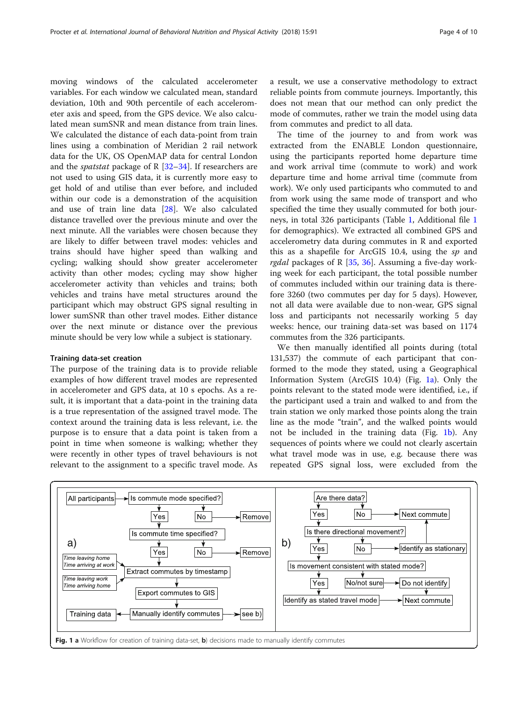moving windows of the calculated accelerometer variables. For each window we calculated mean, standard deviation, 10th and 90th percentile of each accelerometer axis and speed, from the GPS device. We also calculated mean sumSNR and mean distance from train lines. We calculated the distance of each data-point from train lines using a combination of Meridian 2 rail network data for the UK, OS OpenMAP data for central London and the *spatstat* package of R  $[32-34]$  $[32-34]$  $[32-34]$  $[32-34]$  $[32-34]$ . If researchers are not used to using GIS data, it is currently more easy to get hold of and utilise than ever before, and included within our code is a demonstration of the acquisition and use of train line data [\[28](#page-9-0)]. We also calculated distance travelled over the previous minute and over the next minute. All the variables were chosen because they are likely to differ between travel modes: vehicles and trains should have higher speed than walking and cycling; walking should show greater accelerometer activity than other modes; cycling may show higher accelerometer activity than vehicles and trains; both vehicles and trains have metal structures around the participant which may obstruct GPS signal resulting in lower sumSNR than other travel modes. Either distance over the next minute or distance over the previous minute should be very low while a subject is stationary.

## Training data-set creation

The purpose of the training data is to provide reliable examples of how different travel modes are represented in accelerometer and GPS data, at 10 s epochs. As a result, it is important that a data-point in the training data is a true representation of the assigned travel mode. The context around the training data is less relevant, i.e. the purpose is to ensure that a data point is taken from a point in time when someone is walking; whether they were recently in other types of travel behaviours is not relevant to the assignment to a specific travel mode. As a result, we use a conservative methodology to extract reliable points from commute journeys. Importantly, this does not mean that our method can only predict the mode of commutes, rather we train the model using data from commutes and predict to all data.

The time of the journey to and from work was extracted from the ENABLE London questionnaire, using the participants reported home departure time and work arrival time (commute to work) and work departure time and home arrival time (commute from work). We only used participants who commuted to and from work using the same mode of transport and who specified the time they usually commuted for both journeys, in total 326 participants (Table [1,](#page-2-0) Additional file [1](#page-8-0) for demographics). We extracted all combined GPS and accelerometry data during commutes in R and exported this as a shapefile for ArcGIS 10.4, using the sp and rgdal packages of R  $[35, 36]$  $[35, 36]$  $[35, 36]$  $[35, 36]$ . Assuming a five-day working week for each participant, the total possible number of commutes included within our training data is therefore 3260 (two commutes per day for 5 days). However, not all data were available due to non-wear, GPS signal loss and participants not necessarily working 5 day weeks: hence, our training data-set was based on 1174 commutes from the 326 participants.

We then manually identified all points during (total 131,537) the commute of each participant that conformed to the mode they stated, using a Geographical Information System (ArcGIS 10.4) (Fig. 1a). Only the points relevant to the stated mode were identified, i.e., if the participant used a train and walked to and from the train station we only marked those points along the train line as the mode "train", and the walked points would not be included in the training data (Fig. 1b). Any sequences of points where we could not clearly ascertain what travel mode was in use, e.g. because there was repeated GPS signal loss, were excluded from the

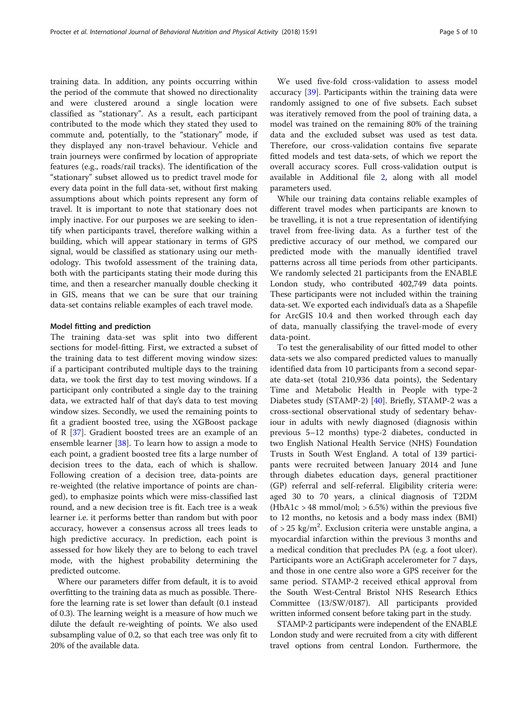training data. In addition, any points occurring within the period of the commute that showed no directionality and were clustered around a single location were classified as "stationary". As a result, each participant contributed to the mode which they stated they used to commute and, potentially, to the "stationary" mode, if they displayed any non-travel behaviour. Vehicle and train journeys were confirmed by location of appropriate features (e.g., roads/rail tracks). The identification of the "stationary" subset allowed us to predict travel mode for every data point in the full data-set, without first making assumptions about which points represent any form of travel. It is important to note that stationary does not imply inactive. For our purposes we are seeking to identify when participants travel, therefore walking within a building, which will appear stationary in terms of GPS signal, would be classified as stationary using our methodology. This twofold assessment of the training data, both with the participants stating their mode during this time, and then a researcher manually double checking it in GIS, means that we can be sure that our training data-set contains reliable examples of each travel mode.

## Model fitting and prediction

The training data-set was split into two different sections for model-fitting. First, we extracted a subset of the training data to test different moving window sizes: if a participant contributed multiple days to the training data, we took the first day to test moving windows. If a participant only contributed a single day to the training data, we extracted half of that day's data to test moving window sizes. Secondly, we used the remaining points to fit a gradient boosted tree, using the XGBoost package of R [[37\]](#page-9-0). Gradient boosted trees are an example of an ensemble learner [[38\]](#page-9-0). To learn how to assign a mode to each point, a gradient boosted tree fits a large number of decision trees to the data, each of which is shallow. Following creation of a decision tree, data-points are re-weighted (the relative importance of points are changed), to emphasize points which were miss-classified last round, and a new decision tree is fit. Each tree is a weak learner i.e. it performs better than random but with poor accuracy, however a consensus across all trees leads to high predictive accuracy. In prediction, each point is assessed for how likely they are to belong to each travel mode, with the highest probability determining the predicted outcome.

Where our parameters differ from default, it is to avoid overfitting to the training data as much as possible. Therefore the learning rate is set lower than default (0.1 instead of 0.3). The learning weight is a measure of how much we dilute the default re-weighting of points. We also used subsampling value of 0.2, so that each tree was only fit to 20% of the available data.

We used five-fold cross-validation to assess model accuracy [[39\]](#page-9-0). Participants within the training data were randomly assigned to one of five subsets. Each subset was iteratively removed from the pool of training data, a model was trained on the remaining 80% of the training data and the excluded subset was used as test data. Therefore, our cross-validation contains five separate fitted models and test data-sets, of which we report the overall accuracy scores. Full cross-validation output is available in Additional file [2,](#page-8-0) along with all model parameters used.

While our training data contains reliable examples of different travel modes when participants are known to be travelling, it is not a true representation of identifying travel from free-living data. As a further test of the predictive accuracy of our method, we compared our predicted mode with the manually identified travel patterns across all time periods from other participants. We randomly selected 21 participants from the ENABLE London study, who contributed 402,749 data points. These participants were not included within the training data-set. We exported each individual's data as a Shapefile for ArcGIS 10.4 and then worked through each day of data, manually classifying the travel-mode of every data-point.

To test the generalisability of our fitted model to other data-sets we also compared predicted values to manually identified data from 10 participants from a second separate data-set (total 210,936 data points), the Sedentary Time and Metabolic Health in People with type-2 Diabetes study (STAMP-2) [[40](#page-9-0)]. Briefly, STAMP-2 was a cross-sectional observational study of sedentary behaviour in adults with newly diagnosed (diagnosis within previous 5–12 months) type-2 diabetes, conducted in two English National Health Service (NHS) Foundation Trusts in South West England. A total of 139 participants were recruited between January 2014 and June through diabetes education days, general practitioner (GP) referral and self-referral. Eligibility criteria were: aged 30 to 70 years, a clinical diagnosis of T2DM  $(HbA1c > 48$  mmol/mol;  $> 6.5\%)$  within the previous five to 12 months, no ketosis and a body mass index (BMI) of  $>$  25 kg/m<sup>2</sup>. Exclusion criteria were unstable angina, a myocardial infarction within the previous 3 months and a medical condition that precludes PA (e.g. a foot ulcer). Participants wore an ActiGraph accelerometer for 7 days, and those in one centre also wore a GPS receiver for the same period. STAMP-2 received ethical approval from the South West-Central Bristol NHS Research Ethics Committee (13/SW/0187). All participants provided written informed consent before taking part in the study.

STAMP-2 participants were independent of the ENABLE London study and were recruited from a city with different travel options from central London. Furthermore, the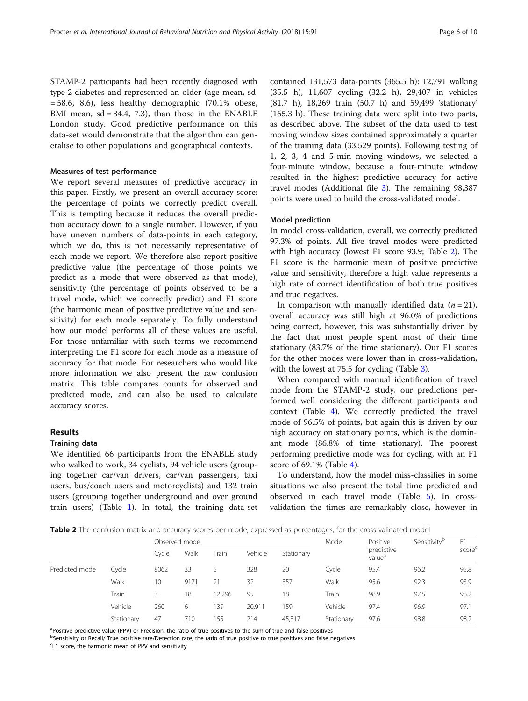STAMP-2 participants had been recently diagnosed with type-2 diabetes and represented an older (age mean, sd  $= 58.6, 8.6$ , less healthy demographic  $(70.1\% \text{ obese})$ BMI mean,  $sd = 34.4$ , 7.3), than those in the ENABLE London study. Good predictive performance on this data-set would demonstrate that the algorithm can generalise to other populations and geographical contexts.

## Measures of test performance

We report several measures of predictive accuracy in this paper. Firstly, we present an overall accuracy score: the percentage of points we correctly predict overall. This is tempting because it reduces the overall prediction accuracy down to a single number. However, if you have uneven numbers of data-points in each category, which we do, this is not necessarily representative of each mode we report. We therefore also report positive predictive value (the percentage of those points we predict as a mode that were observed as that mode), sensitivity (the percentage of points observed to be a travel mode, which we correctly predict) and F1 score (the harmonic mean of positive predictive value and sensitivity) for each mode separately. To fully understand how our model performs all of these values are useful. For those unfamiliar with such terms we recommend interpreting the F1 score for each mode as a measure of accuracy for that mode. For researchers who would like more information we also present the raw confusion matrix. This table compares counts for observed and predicted mode, and can also be used to calculate accuracy scores.

## Results

## Training data

We identified 66 participants from the ENABLE study who walked to work, 34 cyclists, 94 vehicle users (grouping together car/van drivers, car/van passengers, taxi users, bus/coach users and motorcyclists) and 132 train users (grouping together underground and over ground train users) (Table [1\)](#page-2-0). In total, the training data-set

contained 131,573 data-points (365.5 h): 12,791 walking (35.5 h), 11,607 cycling (32.2 h), 29,407 in vehicles (81.7 h), 18,269 train (50.7 h) and 59,499 'stationary' (165.3 h). These training data were split into two parts, as described above. The subset of the data used to test moving window sizes contained approximately a quarter of the training data (33,529 points). Following testing of 1, 2, 3, 4 and 5-min moving windows, we selected a four-minute window, because a four-minute window resulted in the highest predictive accuracy for active travel modes (Additional file [3\)](#page-8-0). The remaining 98,387 points were used to build the cross-validated model.

## Model prediction

In model cross-validation, overall, we correctly predicted 97.3% of points. All five travel modes were predicted with high accuracy (lowest F1 score 93.9; Table 2). The F1 score is the harmonic mean of positive predictive value and sensitivity, therefore a high value represents a high rate of correct identification of both true positives and true negatives.

In comparison with manually identified data  $(n = 21)$ , overall accuracy was still high at 96.0% of predictions being correct, however, this was substantially driven by the fact that most people spent most of their time stationary (83.7% of the time stationary). Our F1 scores for the other modes were lower than in cross-validation, with the lowest at 75.5 for cycling (Table [3\)](#page-6-0).

When compared with manual identification of travel mode from the STAMP-2 study, our predictions performed well considering the different participants and context (Table [4\)](#page-6-0). We correctly predicted the travel mode of 96.5% of points, but again this is driven by our high accuracy on stationary points, which is the dominant mode (86.8% of time stationary). The poorest performing predictive mode was for cycling, with an F1 score of 69.1% (Table [4\)](#page-6-0).

To understand, how the model miss-classifies in some situations we also present the total time predicted and observed in each travel mode (Table [5\)](#page-7-0). In crossvalidation the times are remarkably close, however in

Table 2 The confusion-matrix and accuracy scores per mode, expressed as percentages, for the cross-validated model

|                |            |       | Observed mode |        |         |            | Mode       | Positive                         | Sensitivity <sup>b</sup> | F1     |
|----------------|------------|-------|---------------|--------|---------|------------|------------|----------------------------------|--------------------------|--------|
|                |            | Cycle | Walk          | Train  | Vehicle | Stationary |            | predictive<br>value <sup>a</sup> |                          | scorec |
| Predicted mode | Cycle      | 8062  | 33            |        | 328     | 20         | Cycle      | 95.4                             | 96.2                     | 95.8   |
|                | Walk       | 10    | 9171          | 21     | 32      | 357        | Walk       | 95.6                             | 92.3                     | 93.9   |
|                | Train      | 3     | 18            | 12,296 | 95      | 18         | Train      | 98.9                             | 97.5                     | 98.2   |
|                | Vehicle    | 260   | 6             | 139    | 20,911  | 159        | Vehicle    | 97.4                             | 96.9                     | 97.1   |
|                | Stationary | 47    | 710           | 155    | 214     | 45,317     | Stationary | 97.6                             | 98.8                     | 98.2   |
|                |            |       |               |        |         |            |            |                                  |                          |        |

<sup>a</sup>Positive predictive value (PPV) or Precision, the ratio of true positives to the sum of true and false positives

**BEnsitivity or Recall/ True positive rate/Detection rate, the ratio of true positive to true positives and false negatives** 

<sup>c</sup>F1 score, the harmonic mean of PPV and sensitivity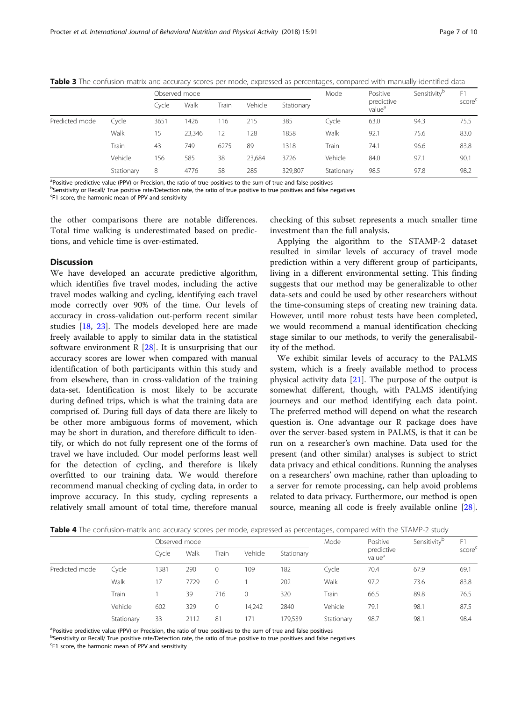|                |            |       | Observed mode |       |         | Mode       | Positive   | Sensitivity <sup>b</sup>         | F1   |       |
|----------------|------------|-------|---------------|-------|---------|------------|------------|----------------------------------|------|-------|
|                |            | Cycle | Walk          | Train | Vehicle | Stationary |            | predictive<br>value <sup>a</sup> |      | score |
| Predicted mode | Cycle      | 3651  | 1426          | 16    | 215     | 385        | Cycle      | 63.0                             | 94.3 | 75.5  |
|                | Walk       | 15    | 23,346        | 12    | 128     | 1858       | Walk       | 92.1                             | 75.6 | 83.0  |
|                | Train      | 43    | 749           | 6275  | 89      | 1318       | Train      | 74.1                             | 96.6 | 83.8  |
|                | Vehicle    | 156   | 585           | 38    | 23,684  | 3726       | Vehicle    | 84.0                             | 97.1 | 90.1  |
|                | Stationary | 8     | 4776          | 58    | 285     | 329,807    | Stationary | 98.5                             | 97.8 | 98.2  |

<span id="page-6-0"></span>Table 3 The confusion-matrix and accuracy scores per mode, expressed as percentages, compared with manually-identified data

<sup>a</sup>Positive predictive value (PPV) or Precision, the ratio of true positives to the sum of true and false positives

**BSensitivity or Recall/ True positive rate/Detection rate, the ratio of true positive to true positives and false negatives** 

<sup>c</sup>F1 score, the harmonic mean of PPV and sensitivity

the other comparisons there are notable differences. Total time walking is underestimated based on predictions, and vehicle time is over-estimated.

## **Discussion**

We have developed an accurate predictive algorithm, which identifies five travel modes, including the active travel modes walking and cycling, identifying each travel mode correctly over 90% of the time. Our levels of accuracy in cross-validation out-perform recent similar studies [[18](#page-9-0), [23\]](#page-9-0). The models developed here are made freely available to apply to similar data in the statistical software environment R  $[28]$ . It is unsurprising that our accuracy scores are lower when compared with manual identification of both participants within this study and from elsewhere, than in cross-validation of the training data-set. Identification is most likely to be accurate during defined trips, which is what the training data are comprised of. During full days of data there are likely to be other more ambiguous forms of movement, which may be short in duration, and therefore difficult to identify, or which do not fully represent one of the forms of travel we have included. Our model performs least well for the detection of cycling, and therefore is likely overfitted to our training data. We would therefore recommend manual checking of cycling data, in order to improve accuracy. In this study, cycling represents a relatively small amount of total time, therefore manual

checking of this subset represents a much smaller time investment than the full analysis.

Applying the algorithm to the STAMP-2 dataset resulted in similar levels of accuracy of travel mode prediction within a very different group of participants, living in a different environmental setting. This finding suggests that our method may be generalizable to other data-sets and could be used by other researchers without the time-consuming steps of creating new training data. However, until more robust tests have been completed, we would recommend a manual identification checking stage similar to our methods, to verify the generalisability of the method.

We exhibit similar levels of accuracy to the PALMS system, which is a freely available method to process physical activity data  $[21]$  $[21]$ . The purpose of the output is somewhat different, though, with PALMS identifying journeys and our method identifying each data point. The preferred method will depend on what the research question is. One advantage our R package does have over the server-based system in PALMS, is that it can be run on a researcher's own machine. Data used for the present (and other similar) analyses is subject to strict data privacy and ethical conditions. Running the analyses on a researchers' own machine, rather than uploading to a server for remote processing, can help avoid problems related to data privacy. Furthermore, our method is open source, meaning all code is freely available online [\[28](#page-9-0)].

|  |  |  |  |  | <b>Table 4</b> The confusion-matrix and accuracy scores per mode, expressed as percentages, compared with the STAMP-2 study |  |  |  |
|--|--|--|--|--|-----------------------------------------------------------------------------------------------------------------------------|--|--|--|
|  |  |  |  |  |                                                                                                                             |  |  |  |

|                |            |       | Observed mode |       |         |            | Mode       | Positive                         | Sensitivity <sup>b</sup> | F <sub>1</sub> |
|----------------|------------|-------|---------------|-------|---------|------------|------------|----------------------------------|--------------------------|----------------|
|                |            | Cycle | Walk          | Train | Vehicle | Stationary |            | predictive<br>value <sup>a</sup> |                          | score          |
| Predicted mode | Cycle      | 1381  | 290           | 0     | 109     | 182        | Cycle      | 70.4                             | 67.9                     | 69.1           |
|                | Walk       | ۱7    | 7729          | 0     |         | 202        | Walk       | 97.2                             | 73.6                     | 83.8           |
|                | Train      |       | 39            | 716   | 0       | 320        | Train      | 66.5                             | 89.8                     | 76.5           |
|                | Vehicle    | 602   | 329           | 0     | 14.242  | 2840       | Vehicle    | 79.1                             | 98.1                     | 87.5           |
|                | Stationary | 33    | 2112          | 81    | 171     | 179,539    | Stationary | 98.7                             | 98.1                     | 98.4           |
|                |            |       |               |       |         |            |            |                                  |                          |                |

<sup>a</sup>Positive predictive value (PPV) or Precision, the ratio of true positives to the sum of true and false positives

**BEnsitivity or Recall/ True positive rate/Detection rate, the ratio of true positive to true positives and false negatives** 

<sup>c</sup>F1 score, the harmonic mean of PPV and sensitivity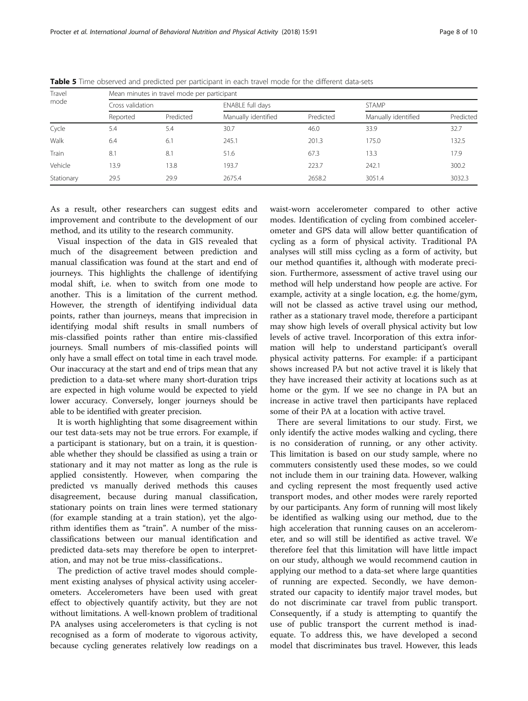| Travel<br>mode |                  | Mean minutes in travel mode per participant |                         |           |                     |           |  |  |  |  |  |  |  |
|----------------|------------------|---------------------------------------------|-------------------------|-----------|---------------------|-----------|--|--|--|--|--|--|--|
|                | Cross validation |                                             | <b>ENABLE full days</b> |           | <b>STAMP</b>        |           |  |  |  |  |  |  |  |
|                | Reported         | Predicted                                   | Manually identified     | Predicted | Manually identified | Predicted |  |  |  |  |  |  |  |
| Cycle          | 5.4              | 5.4                                         | 30.7                    | 46.0      | 33.9                | 32.7      |  |  |  |  |  |  |  |
| Walk           | 6.4              | 6.                                          | 245.1                   | 201.3     | 175.0               | 132.5     |  |  |  |  |  |  |  |
| Train          | 8.1              | 8.                                          | 51.6                    | 67.3      | 13.3                | 17.9      |  |  |  |  |  |  |  |
| Vehicle        | 13.9             | 13.8                                        | 193.7                   | 223.7     | 242.1               | 300.2     |  |  |  |  |  |  |  |
| Stationary     | 29.5             | 29.9                                        | 2675.4                  | 2658.2    | 3051.4              | 3032.3    |  |  |  |  |  |  |  |

<span id="page-7-0"></span>Table 5 Time observed and predicted per participant in each travel mode for the different data-sets

As a result, other researchers can suggest edits and improvement and contribute to the development of our method, and its utility to the research community.

Visual inspection of the data in GIS revealed that much of the disagreement between prediction and manual classification was found at the start and end of journeys. This highlights the challenge of identifying modal shift, i.e. when to switch from one mode to another. This is a limitation of the current method. However, the strength of identifying individual data points, rather than journeys, means that imprecision in identifying modal shift results in small numbers of mis-classified points rather than entire mis-classified journeys. Small numbers of mis-classified points will only have a small effect on total time in each travel mode. Our inaccuracy at the start and end of trips mean that any prediction to a data-set where many short-duration trips are expected in high volume would be expected to yield lower accuracy. Conversely, longer journeys should be able to be identified with greater precision.

It is worth highlighting that some disagreement within our test data-sets may not be true errors. For example, if a participant is stationary, but on a train, it is questionable whether they should be classified as using a train or stationary and it may not matter as long as the rule is applied consistently. However, when comparing the predicted vs manually derived methods this causes disagreement, because during manual classification, stationary points on train lines were termed stationary (for example standing at a train station), yet the algorithm identifies them as "train". A number of the missclassifications between our manual identification and predicted data-sets may therefore be open to interpretation, and may not be true miss-classifications..

The prediction of active travel modes should complement existing analyses of physical activity using accelerometers. Accelerometers have been used with great effect to objectively quantify activity, but they are not without limitations. A well-known problem of traditional PA analyses using accelerometers is that cycling is not recognised as a form of moderate to vigorous activity, because cycling generates relatively low readings on a

waist-worn accelerometer compared to other active modes. Identification of cycling from combined accelerometer and GPS data will allow better quantification of cycling as a form of physical activity. Traditional PA analyses will still miss cycling as a form of activity, but our method quantifies it, although with moderate precision. Furthermore, assessment of active travel using our method will help understand how people are active. For example, activity at a single location, e.g. the home/gym, will not be classed as active travel using our method, rather as a stationary travel mode, therefore a participant may show high levels of overall physical activity but low levels of active travel. Incorporation of this extra information will help to understand participant's overall physical activity patterns. For example: if a participant shows increased PA but not active travel it is likely that they have increased their activity at locations such as at home or the gym. If we see no change in PA but an increase in active travel then participants have replaced some of their PA at a location with active travel.

There are several limitations to our study. First, we only identify the active modes walking and cycling, there is no consideration of running, or any other activity. This limitation is based on our study sample, where no commuters consistently used these modes, so we could not include them in our training data. However, walking and cycling represent the most frequently used active transport modes, and other modes were rarely reported by our participants. Any form of running will most likely be identified as walking using our method, due to the high acceleration that running causes on an accelerometer, and so will still be identified as active travel. We therefore feel that this limitation will have little impact on our study, although we would recommend caution in applying our method to a data-set where large quantities of running are expected. Secondly, we have demonstrated our capacity to identify major travel modes, but do not discriminate car travel from public transport. Consequently, if a study is attempting to quantify the use of public transport the current method is inadequate. To address this, we have developed a second model that discriminates bus travel. However, this leads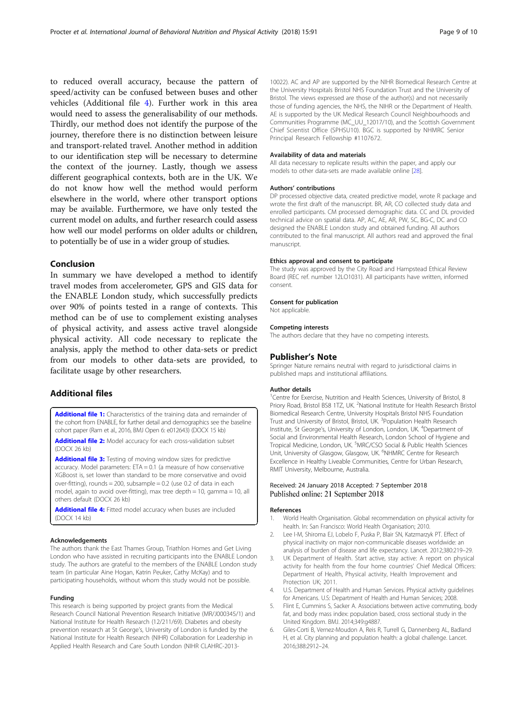<span id="page-8-0"></span>to reduced overall accuracy, because the pattern of speed/activity can be confused between buses and other vehicles (Additional file 4). Further work in this area would need to assess the generalisability of our methods. Thirdly, our method does not identify the purpose of the journey, therefore there is no distinction between leisure and transport-related travel. Another method in addition to our identification step will be necessary to determine the context of the journey. Lastly, though we assess different geographical contexts, both are in the UK. We do not know how well the method would perform elsewhere in the world, where other transport options may be available. Furthermore, we have only tested the current model on adults, and further research could assess how well our model performs on older adults or children, to potentially be of use in a wider group of studies.

## Conclusion

In summary we have developed a method to identify travel modes from accelerometer, GPS and GIS data for the ENABLE London study, which successfully predicts over 90% of points tested in a range of contexts. This method can be of use to complement existing analyses of physical activity, and assess active travel alongside physical activity. All code necessary to replicate the analysis, apply the method to other data-sets or predict from our models to other data-sets are provided, to facilitate usage by other researchers.

## Additional files

[Additional file 1:](https://doi.org/10.1186/s12966-018-0724-y) Characteristics of the training data and remainder of the cohort from ENABLE, for further detail and demographics see the baseline cohort paper (Ram et al., 2016, BMJ Open 6: e012643) (DOCX 15 kb)

[Additional file 2:](https://doi.org/10.1186/s12966-018-0724-y) Model accuracy for each cross-validation subset (DOCX 26 kb)

[Additional file 3:](https://doi.org/10.1186/s12966-018-0724-y) Testing of moving window sizes for predictive accuracy. Model parameters: ETA = 0.1 (a measure of how conservative XGBoost is, set lower than standard to be more conservative and ovoid over-fitting), rounds = 200, subsample =  $0.2$  (use 0.2 of data in each model, again to avoid over-fitting), max tree depth = 10, gamma = 10, all others default (DOCX 26 kb)

[Additional file 4:](https://doi.org/10.1186/s12966-018-0724-y) Fitted model accuracy when buses are included (DOCX 14 kb)

#### Acknowledgements

The authors thank the East Thames Group, Triathlon Homes and Get Living London who have assisted in recruiting participants into the ENABLE London study. The authors are grateful to the members of the ENABLE London study team (in particular Aine Hogan, Katrin Peuker, Cathy McKay) and to participating households, without whom this study would not be possible.

## Funding

This research is being supported by project grants from the Medical Research Council National Prevention Research Initiative (MR/J000345/1) and National Institute for Health Research (12/211/69). Diabetes and obesity prevention research at St George's, University of London is funded by the National Institute for Health Research (NIHR) Collaboration for Leadership in Applied Health Research and Care South London (NIHR CLAHRC-2013-

10022). AC and AP are supported by the NIHR Biomedical Research Centre at the University Hospitals Bristol NHS Foundation Trust and the University of Bristol. The views expressed are those of the author(s) and not necessarily those of funding agencies, the NHS, the NIHR or the Department of Health. AE is supported by the UK Medical Research Council Neighbourhoods and Communities Programme (MC\_UU\_12017/10), and the Scottish Government Chief Scientist Office (SPHSU10). BGC is supported by NHMRC Senior Principal Research Fellowship #1107672.

## Availability of data and materials

All data necessary to replicate results within the paper, and apply our models to other data-sets are made available online [\[28\]](#page-9-0).

#### Authors' contributions

DP processed objective data, created predictive model, wrote R package and wrote the first draft of the manuscript. BR, AR, CO collected study data and enrolled participants. CM processed demographic data. CC and DL provided technical advice on spatial data. AP, AC, AE, AR, PW, SC, BG-C, DC and CO designed the ENABLE London study and obtained funding. All authors contributed to the final manuscript. All authors read and approved the final manuscript.

#### Ethics approval and consent to participate

The study was approved by the City Road and Hampstead Ethical Review Board (REC ref. number 12LO1031). All participants have written, informed consent.

#### Consent for publication

Not applicable.

## Competing interests

The authors declare that they have no competing interests.

## Publisher's Note

Springer Nature remains neutral with regard to jurisdictional claims in published maps and institutional affiliations.

#### Author details

<sup>1</sup> Centre for Exercise, Nutrition and Health Sciences, University of Bristol, 8 Priory Road, Bristol BS8 1TZ, UK. <sup>2</sup>National Institute for Health Research Bristol Biomedical Research Centre, University Hospitals Bristol NHS Foundation Trust and University of Bristol, Bristol, UK.<sup>3</sup> Population Health Research Institute, St George's, University of London, London, UK. <sup>4</sup>Department of Social and Environmental Health Research, London School of Hygiene and Tropical Medicine, London, UK. <sup>5</sup>MRC/CSO Social & Public Health Sciences Unit, University of Glasgow, Glasgow, UK. <sup>6</sup>NHMRC Centre for Research Excellence in Healthy Liveable Communities, Centre for Urban Research, RMIT University, Melbourne, Australia.

## Received: 24 January 2018 Accepted: 7 September 2018 Published online: 21 September 2018

#### References

- 1. World Health Organisation. Global recommendation on physical activity for health. In: San Francisco: World Health Organisation; 2010.
- 2. Lee I-M, Shiroma EJ, Lobelo F, Puska P, Blair SN, Katzmarzyk PT. Effect of physical inactivity on major non-communicable diseases worldwide: an analysis of burden of disease and life expectancy. Lancet. 2012;380:219–29.
- 3. UK Department of Health. Start active, stay active: A report on physical activity for health from the four home countries' Chief Medical Officers: Department of Health, Physical activity, Health Improvement and Protection UK; 2011.
- 4. U.S. Department of Health and Human Services. Physical activity guidelines for Americans. U.S: Department of Health and Human Services; 2008.
- 5. Flint E, Cummins S, Sacker A. Associations between active commuting, body fat, and body mass index: population based, cross sectional study in the United Kingdom. BMJ. 2014;349:g4887.
- Giles-Corti B, Vernez-Moudon A, Reis R, Turrell G, Dannenberg AL, Badland H, et al. City planning and population health: a global challenge. Lancet. 2016;388:2912–24.